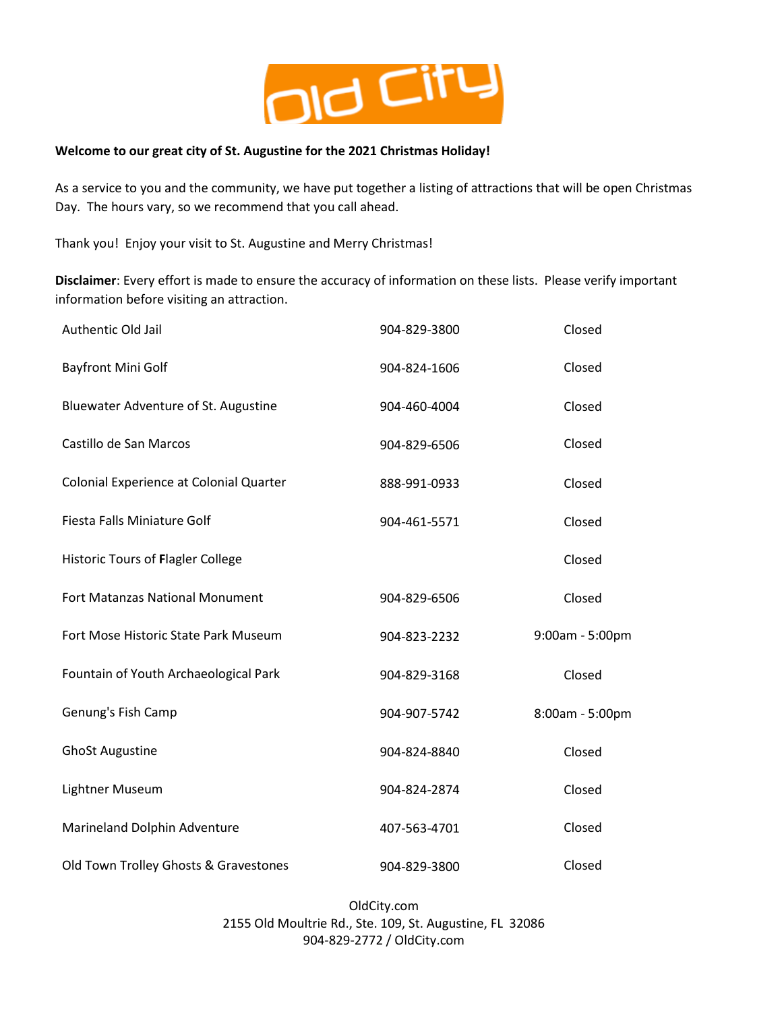

## **Welcome to our great city of St. Augustine for the 2021 Christmas Holiday!**

As a service to you and the community, we have put together a listing of attractions that will be open Christmas Day. The hours vary, so we recommend that you call ahead.

Thank you! Enjoy your visit to St. Augustine and Merry Christmas!

**Disclaimer**: Every effort is made to ensure the accuracy of information on these lists. Please verify important information before visiting an attraction.

| Authentic Old Jail                       | 904-829-3800 | Closed          |
|------------------------------------------|--------------|-----------------|
| <b>Bayfront Mini Golf</b>                | 904-824-1606 | Closed          |
| Bluewater Adventure of St. Augustine     | 904-460-4004 | Closed          |
| Castillo de San Marcos                   | 904-829-6506 | Closed          |
| Colonial Experience at Colonial Quarter  | 888-991-0933 | Closed          |
| Fiesta Falls Miniature Golf              | 904-461-5571 | Closed          |
| <b>Historic Tours of Flagler College</b> |              | Closed          |
| Fort Matanzas National Monument          | 904-829-6506 | Closed          |
| Fort Mose Historic State Park Museum     | 904-823-2232 | 9:00am - 5:00pm |
| Fountain of Youth Archaeological Park    | 904-829-3168 | Closed          |
| Genung's Fish Camp                       | 904-907-5742 | 8:00am - 5:00pm |
| <b>GhoSt Augustine</b>                   | 904-824-8840 | Closed          |
| Lightner Museum                          | 904-824-2874 | Closed          |
| Marineland Dolphin Adventure             | 407-563-4701 | Closed          |
| Old Town Trolley Ghosts & Gravestones    | 904-829-3800 | Closed          |

OldCity.com 2155 Old Moultrie Rd., Ste. 109, St. Augustine, FL 32086 904-829-2772 / OldCity.com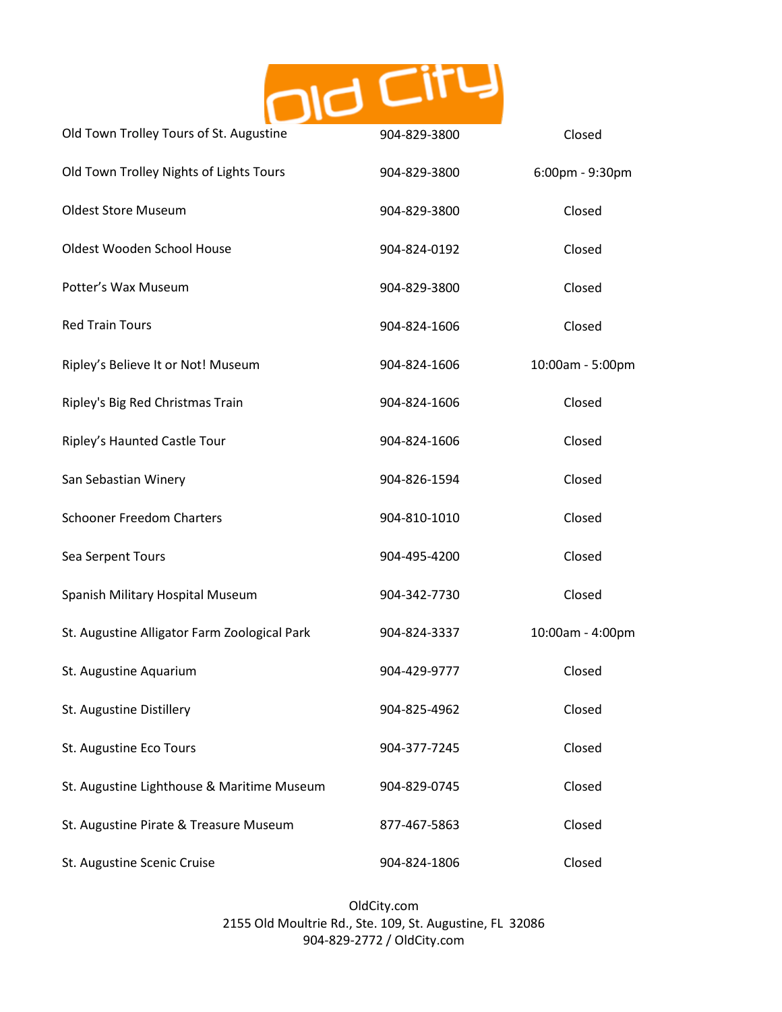

| Old Town Trolley Tours of St. Augustine      | 904-829-3800 | Closed           |
|----------------------------------------------|--------------|------------------|
| Old Town Trolley Nights of Lights Tours      | 904-829-3800 | 6:00pm - 9:30pm  |
| <b>Oldest Store Museum</b>                   | 904-829-3800 | Closed           |
| Oldest Wooden School House                   | 904-824-0192 | Closed           |
| Potter's Wax Museum                          | 904-829-3800 | Closed           |
| <b>Red Train Tours</b>                       | 904-824-1606 | Closed           |
| Ripley's Believe It or Not! Museum           | 904-824-1606 | 10:00am - 5:00pm |
| Ripley's Big Red Christmas Train             | 904-824-1606 | Closed           |
| Ripley's Haunted Castle Tour                 | 904-824-1606 | Closed           |
| San Sebastian Winery                         | 904-826-1594 | Closed           |
| <b>Schooner Freedom Charters</b>             | 904-810-1010 | Closed           |
| Sea Serpent Tours                            | 904-495-4200 | Closed           |
| Spanish Military Hospital Museum             | 904-342-7730 | Closed           |
| St. Augustine Alligator Farm Zoological Park | 904-824-3337 | 10:00am - 4:00pm |
| St. Augustine Aquarium                       | 904-429-9777 | Closed           |
| St. Augustine Distillery                     | 904-825-4962 | Closed           |
| St. Augustine Eco Tours                      | 904-377-7245 | Closed           |
| St. Augustine Lighthouse & Maritime Museum   | 904-829-0745 | Closed           |
| St. Augustine Pirate & Treasure Museum       | 877-467-5863 | Closed           |
| St. Augustine Scenic Cruise                  | 904-824-1806 | Closed           |

OldCity.com 2155 Old Moultrie Rd., Ste. 109, St. Augustine, FL 32086 904-829-2772 / OldCity.com